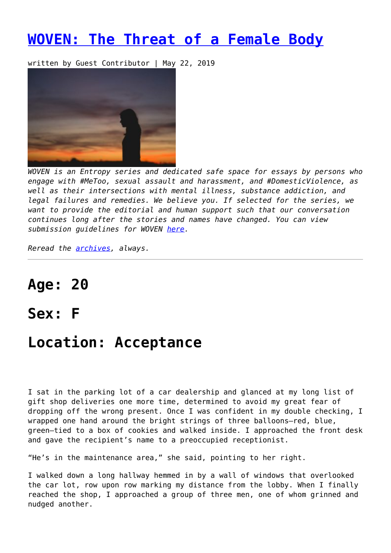## **[WOVEN: The Threat of a Female Body](https://entropymag.org/woven-the-threat-of-a-female-body/)**

written by Guest Contributor | May 22, 2019



*WOVEN is an Entropy series and dedicated safe space for essays by persons who engage with #MeToo, sexual assault and harassment, and #DomesticViolence, as well as their intersections with mental illness, substance addiction, and legal failures and remedies. We believe you. If selected for the series, we want to provide the editorial and human support such that our conversation continues long after the stories and names have changed. You can view submission guidelines for WOVEN [here.](https://entropymag.org/woven-call-for-submissions/)*

*Reread the [archives](https://entropymag.org/tag/woven/), always.* 

# **Age: 20**

### **Sex: F**

## **Location: Acceptance**

I sat in the parking lot of a car dealership and glanced at my long list of gift shop deliveries one more time, determined to avoid my great fear of dropping off the wrong present. Once I was confident in my double checking, I wrapped one hand around the bright strings of three balloons—red, blue, green—tied to a box of cookies and walked inside. I approached the front desk and gave the recipient's name to a preoccupied receptionist.

"He's in the maintenance area," she said, pointing to her right.

I walked down a long hallway hemmed in by a wall of windows that overlooked the car lot, row upon row marking my distance from the lobby. When I finally reached the shop, I approached a group of three men, one of whom grinned and nudged another.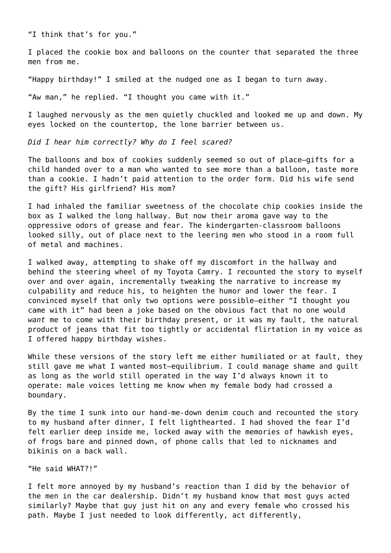"I think that's for you."

I placed the cookie box and balloons on the counter that separated the three men from me.

"Happy birthday!" I smiled at the nudged one as I began to turn away.

"Aw man," he replied. "I thought you came with it."

I laughed nervously as the men quietly chuckled and looked me up and down. My eyes locked on the countertop, the lone barrier between us.

*Did I hear him correctly? Why do I feel scared?*

The balloons and box of cookies suddenly seemed so out of place—gifts for a child handed over to a man who wanted to see more than a balloon, taste more than a cookie. I hadn't paid attention to the order form. Did his wife send the gift? His girlfriend? His mom?

I had inhaled the familiar sweetness of the chocolate chip cookies inside the box as I walked the long hallway. But now their aroma gave way to the oppressive odors of grease and fear. The kindergarten-classroom balloons looked silly, out of place next to the leering men who stood in a room full of metal and machines.

I walked away, attempting to shake off my discomfort in the hallway and behind the steering wheel of my Toyota Camry. I recounted the story to myself over and over again, incrementally tweaking the narrative to increase my culpability and reduce his, to heighten the humor and lower the fear. I convinced myself that only two options were possible—either "I thought you came with it" had been a joke based on the obvious fact that no one would *want* me to come with their birthday present, or it was my fault, the natural product of jeans that fit too tightly or accidental flirtation in my voice as I offered happy birthday wishes.

While these versions of the story left me either humiliated or at fault, they still gave me what I wanted most—equilibrium. I could manage shame and guilt as long as the world still operated in the way I'd always known it to operate: male voices letting me know when my female body had crossed a boundary.

By the time I sunk into our hand-me-down denim couch and recounted the story to my husband after dinner, I felt lighthearted. I had shoved the fear I'd felt earlier deep inside me, locked away with the memories of hawkish eyes, of frogs bare and pinned down, of phone calls that led to nicknames and bikinis on a back wall.

"He said WHAT?!"

I felt more annoyed by my husband's reaction than I did by the behavior of the men in the car dealership. Didn't my husband know that most guys acted similarly? Maybe that guy just hit on any and every female who crossed his path. Maybe I just needed to look differently, act differently,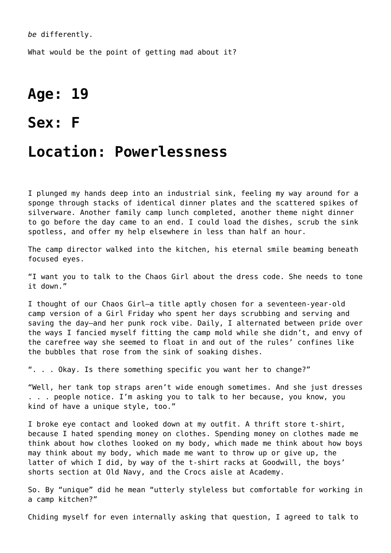*be* differently.

What would be the point of getting mad about it?

## **Age: 19**

### **Sex: F**

### **Location: Powerlessness**

I plunged my hands deep into an industrial sink, feeling my way around for a sponge through stacks of identical dinner plates and the scattered spikes of silverware. Another family camp lunch completed, another theme night dinner to go before the day came to an end. I could load the dishes, scrub the sink spotless, and offer my help elsewhere in less than half an hour.

The camp director walked into the kitchen, his eternal smile beaming beneath focused eyes.

"I want you to talk to the Chaos Girl about the dress code. She needs to tone it down."

I thought of our Chaos Girl—a title aptly chosen for a seventeen-year-old camp version of a Girl Friday who spent her days scrubbing and serving and saving the day—and her punk rock vibe. Daily, I alternated between pride over the ways I fancied myself fitting the camp mold while she didn't, and envy of the carefree way she seemed to float in and out of the rules' confines like the bubbles that rose from the sink of soaking dishes.

". . . Okay. Is there something specific you want her to change?"

"Well, her tank top straps aren't wide enough sometimes. And she just dresses . . . people notice. I'm asking you to talk to her because, you know, you kind of have a unique style, too."

I broke eye contact and looked down at my outfit. A thrift store t-shirt, because I hated spending money on clothes. Spending money on clothes made me think about how clothes looked on my body, which made me think about how boys may think about my body, which made me want to throw up or give up, the latter of which I did, by way of the t-shirt racks at Goodwill, the boys' shorts section at Old Navy, and the Crocs aisle at Academy.

So. By "unique" did he mean "utterly styleless but comfortable for working in a camp kitchen?"

Chiding myself for even internally asking that question, I agreed to talk to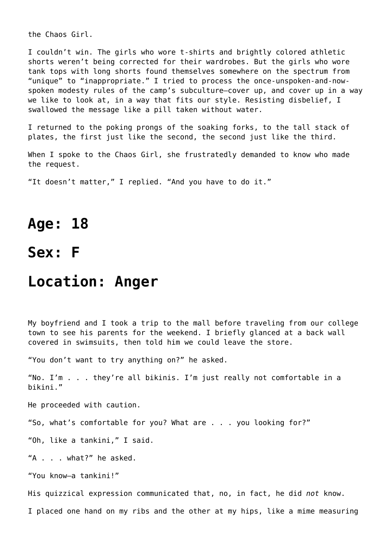the Chaos Girl.

I couldn't win. The girls who wore t-shirts and brightly colored athletic shorts weren't being corrected for their wardrobes. But the girls who wore tank tops with long shorts found themselves somewhere on the spectrum from "unique" to "inappropriate." I tried to process the once-unspoken-and-nowspoken modesty rules of the camp's subculture—cover up, and cover up in a way we like to look at, in a way that fits our style. Resisting disbelief, I swallowed the message like a pill taken without water.

I returned to the poking prongs of the soaking forks, to the tall stack of plates, the first just like the second, the second just like the third.

When I spoke to the Chaos Girl, she frustratedly demanded to know who made the request.

"It doesn't matter," I replied. "And you have to do it."

### **Age: 18**

### **Sex: F**

#### **Location: Anger**

My boyfriend and I took a trip to the mall before traveling from our college town to see his parents for the weekend. I briefly glanced at a back wall covered in swimsuits, then told him we could leave the store.

"You don't want to try anything on?" he asked.

"No. I'm . . . they're all bikinis. I'm just really not comfortable in a bikini."

He proceeded with caution.

"So, what's comfortable for you? What are . . . you looking for?"

"Oh, like a tankini," I said.

"A . . . what?" he asked.

"You know—a tankini!"

His quizzical expression communicated that, no, in fact, he did *not* know.

I placed one hand on my ribs and the other at my hips, like a mime measuring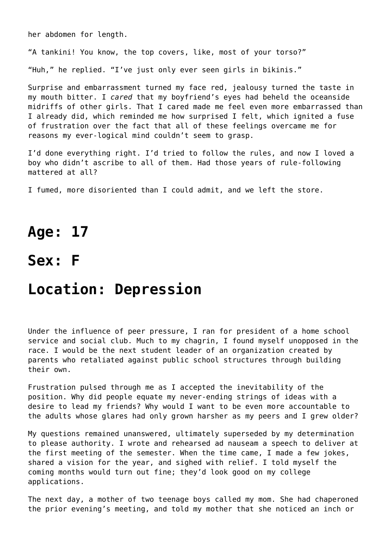her abdomen for length.

"A tankini! You know, the top covers, like, most of your torso?"

"Huh," he replied. "I've just only ever seen girls in bikinis."

Surprise and embarrassment turned my face red, jealousy turned the taste in my mouth bitter. I *cared* that my boyfriend's eyes had beheld the oceanside midriffs of other girls. That I cared made me feel even more embarrassed than I already did, which reminded me how surprised I felt, which ignited a fuse of frustration over the fact that all of these feelings overcame me for reasons my ever-logical mind couldn't seem to grasp.

I'd done everything right. I'd tried to follow the rules, and now I loved a boy who didn't ascribe to all of them. Had those years of rule-following mattered at all?

I fumed, more disoriented than I could admit, and we left the store.

### **Age: 17**

### **Sex: F**

## **Location: Depression**

Under the influence of peer pressure, I ran for president of a home school service and social club. Much to my chagrin, I found myself unopposed in the race. I would be the next student leader of an organization created by parents who retaliated against public school structures through building their own.

Frustration pulsed through me as I accepted the inevitability of the position. Why did people equate my never-ending strings of ideas with a desire to lead my friends? Why would I want to be even more accountable to the adults whose glares had only grown harsher as my peers and I grew older?

My questions remained unanswered, ultimately superseded by my determination to please authority. I wrote and rehearsed ad nauseam a speech to deliver at the first meeting of the semester. When the time came, I made a few jokes, shared a vision for the year, and sighed with relief. I told myself the coming months would turn out fine; they'd look good on my college applications.

The next day, a mother of two teenage boys called my mom. She had chaperoned the prior evening's meeting, and told my mother that she noticed an inch or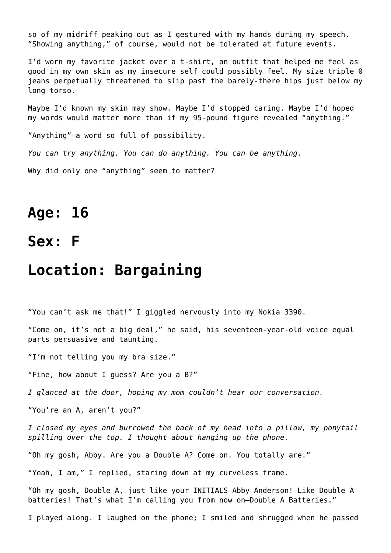so of my midriff peaking out as I gestured with my hands during my speech. "Showing anything," of course, would not be tolerated at future events.

I'd worn my favorite jacket over a t-shirt, an outfit that helped me feel as good in my own skin as my insecure self could possibly feel. My size triple 0 jeans perpetually threatened to slip past the barely-there hips just below my long torso.

Maybe I'd known my skin may show. Maybe I'd stopped caring. Maybe I'd hoped my words would matter more than if my 95-pound figure revealed "anything."

"Anything"—a word so full of possibility.

*You can try anything. You can do anything. You can be anything.*

Why did only one "anything" seem to matter?

## **Age: 16**

**Sex: F**

### **Location: Bargaining**

"You can't ask me that!" I giggled nervously into my Nokia 3390.

"Come on, it's not a big deal," he said, his seventeen-year-old voice equal parts persuasive and taunting.

"I'm not telling you my bra size."

"Fine, how about I guess? Are you a B?"

*I glanced at the door, hoping my mom couldn't hear our conversation.*

"You're an A, aren't you?"

*I closed my eyes and burrowed the back of my head into a pillow, my ponytail spilling over the top. I thought about hanging up the phone.*

"Oh my gosh, Abby. Are you a Double A? Come on. You totally are."

"Yeah, I am," I replied, staring down at my curveless frame.

"Oh my gosh, Double A, just like your INITIALS—Abby Anderson! Like Double A batteries! That's what I'm calling you from now on—Double A Batteries."

I played along. I laughed on the phone; I smiled and shrugged when he passed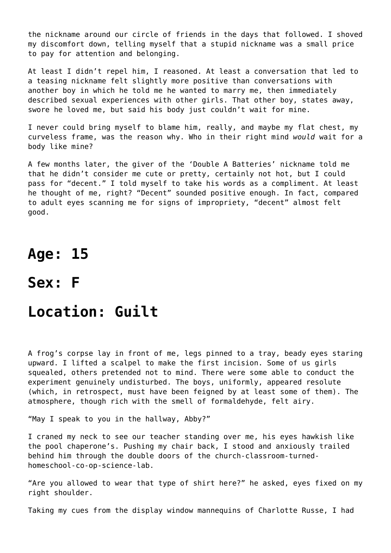the nickname around our circle of friends in the days that followed. I shoved my discomfort down, telling myself that a stupid nickname was a small price to pay for attention and belonging.

At least I didn't repel him, I reasoned. At least a conversation that led to a teasing nickname felt slightly more positive than conversations with another boy in which he told me he wanted to marry me, then immediately described sexual experiences with other girls. That other boy, states away, swore he loved me, but said his body just couldn't wait for mine.

I never could bring myself to blame him, really, and maybe my flat chest, my curveless frame, was the reason why. Who in their right mind *would* wait for a body like mine?

A few months later, the giver of the 'Double A Batteries' nickname told me that he didn't consider me cute or pretty, certainly not hot, but I could pass for "decent." I told myself to take his words as a compliment. At least he thought of me, right? "Decent" sounded positive enough. In fact, compared to adult eyes scanning me for signs of impropriety, "decent" almost felt good.

## **Age: 15**

**Sex: F**

## **Location: Guilt**

A frog's corpse lay in front of me, legs pinned to a tray, beady eyes staring upward. I lifted a scalpel to make the first incision. Some of us girls squealed, others pretended not to mind. There were some able to conduct the experiment genuinely undisturbed. The boys, uniformly, appeared resolute (which, in retrospect, must have been feigned by at least some of them). The atmosphere, though rich with the smell of formaldehyde, felt airy.

"May I speak to you in the hallway, Abby?"

I craned my neck to see our teacher standing over me, his eyes hawkish like the pool chaperone's. Pushing my chair back, I stood and anxiously trailed behind him through the double doors of the church-classroom-turnedhomeschool-co-op-science-lab.

"Are you allowed to wear that type of shirt here?" he asked, eyes fixed on my right shoulder.

Taking my cues from the display window mannequins of Charlotte Russe, I had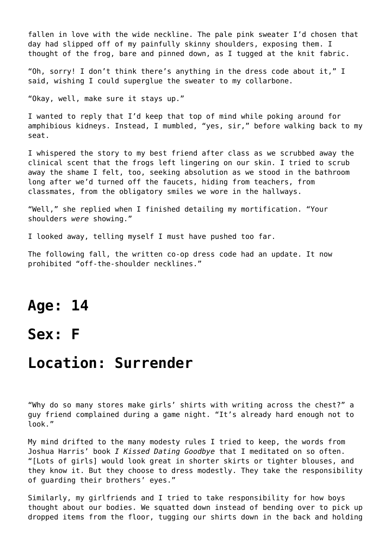fallen in love with the wide neckline. The pale pink sweater I'd chosen that day had slipped off of my painfully skinny shoulders, exposing them. I thought of the frog, bare and pinned down, as I tugged at the knit fabric.

"Oh, sorry! I don't think there's anything in the dress code about it," I said, wishing I could superglue the sweater to my collarbone.

"Okay, well, make sure it stays up."

I wanted to reply that I'd keep that top of mind while poking around for amphibious kidneys. Instead, I mumbled, "yes, sir," before walking back to my seat.

I whispered the story to my best friend after class as we scrubbed away the clinical scent that the frogs left lingering on our skin. I tried to scrub away the shame I felt, too, seeking absolution as we stood in the bathroom long after we'd turned off the faucets, hiding from teachers, from classmates, from the obligatory smiles we wore in the hallways.

"Well," she replied when I finished detailing my mortification. "Your shoulders *were* showing."

I looked away, telling myself I must have pushed too far.

The following fall, the written co-op dress code had an update. It now prohibited "off-the-shoulder necklines."

### **Age: 14**

## **Sex: F**

### **Location: Surrender**

"Why do so many stores make girls' shirts with writing across the chest?" a guy friend complained during a game night. "It's already hard enough not to look."

My mind drifted to the many modesty rules I tried to keep, the words from Joshua Harris' book *I Kissed Dating Goodbye* that I meditated on so often. "[Lots of girls] would look great in shorter skirts or tighter blouses, and they know it. But they choose to dress modestly. They take the responsibility of guarding their brothers' eyes."

Similarly, my girlfriends and I tried to take responsibility for how boys thought about our bodies. We squatted down instead of bending over to pick up dropped items from the floor, tugging our shirts down in the back and holding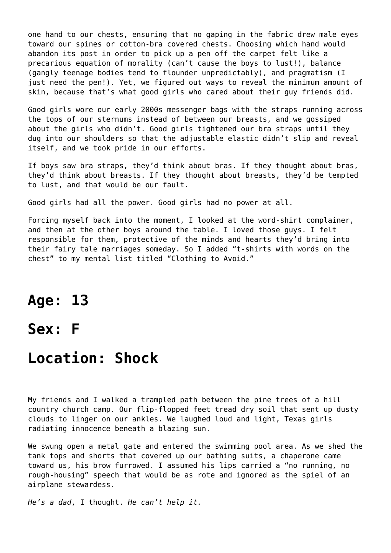one hand to our chests, ensuring that no gaping in the fabric drew male eyes toward our spines or cotton-bra covered chests. Choosing which hand would abandon its post in order to pick up a pen off the carpet felt like a precarious equation of morality (can't cause the boys to lust!), balance (gangly teenage bodies tend to flounder unpredictably), and pragmatism (I just need the pen!). Yet, we figured out ways to reveal the minimum amount of skin, because that's what good girls who cared about their guy friends did.

Good girls wore our early 2000s messenger bags with the straps running across the tops of our sternums instead of between our breasts, and we gossiped about the girls who didn't. Good girls tightened our bra straps until they dug into our shoulders so that the adjustable elastic didn't slip and reveal itself, and we took pride in our efforts.

If boys saw bra straps, they'd think about bras. If they thought about bras, they'd think about breasts. If they thought about breasts, they'd be tempted to lust, and that would be our fault.

Good girls had all the power. Good girls had no power at all.

Forcing myself back into the moment, I looked at the word-shirt complainer, and then at the other boys around the table. I loved those guys. I felt responsible for them, protective of the minds and hearts they'd bring into their fairy tale marriages someday. So I added "t-shirts with words on the chest" to my mental list titled "Clothing to Avoid."

### **Age: 13**

### **Sex: F**

## **Location: Shock**

My friends and I walked a trampled path between the pine trees of a hill country church camp. Our flip-flopped feet tread dry soil that sent up dusty clouds to linger on our ankles. We laughed loud and light, Texas girls radiating innocence beneath a blazing sun.

We swung open a metal gate and entered the swimming pool area. As we shed the tank tops and shorts that covered up our bathing suits, a chaperone came toward us, his brow furrowed. I assumed his lips carried a "no running, no rough-housing" speech that would be as rote and ignored as the spiel of an airplane stewardess.

*He's a dad*, I thought. *He can't help it.*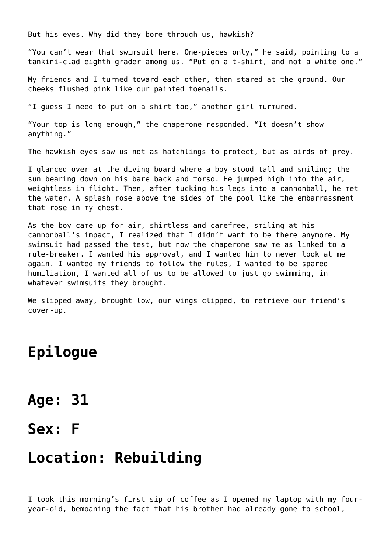But his eyes. Why did they bore through us, hawkish?

"You can't wear that swimsuit here. One-pieces only," he said, pointing to a tankini-clad eighth grader among us. "Put on a t-shirt, and not a white one."

My friends and I turned toward each other, then stared at the ground. Our cheeks flushed pink like our painted toenails.

"I guess I need to put on a shirt too," another girl murmured.

"Your top is long enough," the chaperone responded. "It doesn't show anything."

The hawkish eyes saw us not as hatchlings to protect, but as birds of prey.

I glanced over at the diving board where a boy stood tall and smiling; the sun bearing down on his bare back and torso. He jumped high into the air, weightless in flight. Then, after tucking his legs into a cannonball, he met the water. A splash rose above the sides of the pool like the embarrassment that rose in my chest.

As the boy came up for air, shirtless and carefree, smiling at his cannonball's impact, I realized that I didn't want to be there anymore. My swimsuit had passed the test, but now the chaperone saw me as linked to a rule-breaker. I wanted his approval, and I wanted him to never look at me again. I wanted my friends to follow the rules, I wanted to be spared humiliation, I wanted all of us to be allowed to just go swimming, in whatever swimsuits they brought.

We slipped away, brought low, our wings clipped, to retrieve our friend's cover-up.

## **Epilogue**

- **Age: 31**
- **Sex: F**

## **Location: Rebuilding**

I took this morning's first sip of coffee as I opened my laptop with my fouryear-old, bemoaning the fact that his brother had already gone to school,